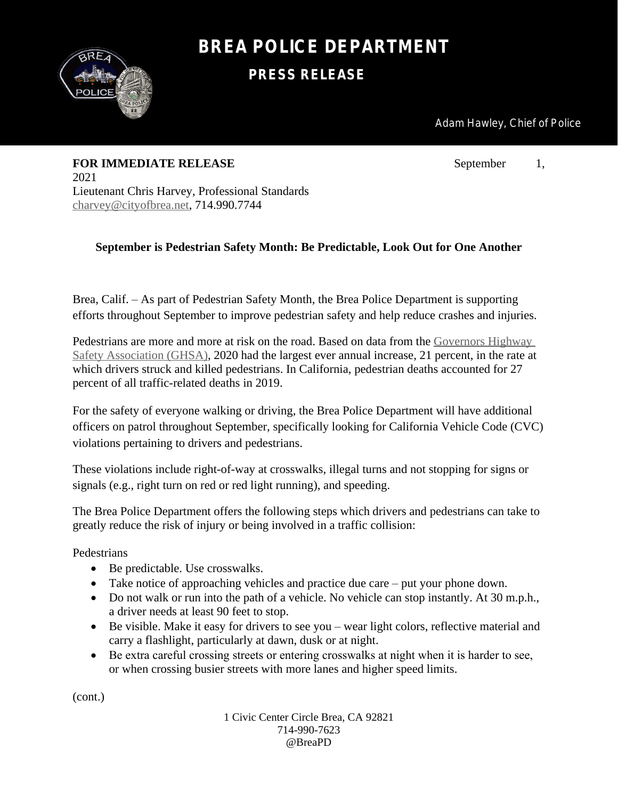

## **BREA POLICE DEPARTMENT**

**PRESS RELEASE**

Adam Hawley, Chief of Police

**FOR IMMEDIATE RELEASE** September 1, 2021 Lieutenant Chris Harvey, Professional Standards [charvey@cityofbrea.net](mailto:charvey@cityofbrea.net), 714.990.7744

## **September is Pedestrian Safety Month: Be Predictable, Look Out for One Another**

Brea, Calif. – As part of Pedestrian Safety Month, the Brea Police Department is supporting efforts throughout September to improve pedestrian safety and help reduce crashes and injuries.

Pedestrians are more and more at risk on the road. Based on data from the [Governors Highway](https://www.ghsa.org/sites/default/files/2021-03/Ped%20Spotlight%202021%20FINAL%203.23.21.pdf)  Safety Association (GHSA), 2020 had the largest ever annual increase, 21 percent, in the rate at which drivers struck and killed pedestrians. In California, pedestrian deaths accounted for 27 percent of all traffic-related deaths in 2019.

For the safety of everyone walking or driving, the Brea Police Department will have additional officers on patrol throughout September, specifically looking for California Vehicle Code (CVC) violations pertaining to drivers and pedestrians.

These violations include right-of-way at crosswalks, illegal turns and not stopping for signs or signals (e.g., right turn on red or red light running), and speeding.

The Brea Police Department offers the following steps which drivers and pedestrians can take to greatly reduce the risk of injury or being involved in a traffic collision:

Pedestrians

- Be predictable. Use crosswalks.
- Take notice of approaching vehicles and practice due care put your phone down.
- Do not walk or run into the path of a vehicle. No vehicle can stop instantly. At 30 m.p.h., a driver needs at least 90 feet to stop.
- Be visible. Make it easy for drivers to see you wear light colors, reflective material and carry a flashlight, particularly at dawn, dusk or at night.
- Be extra careful crossing streets or entering crosswalks at night when it is harder to see, or when crossing busier streets with more lanes and higher speed limits.

(cont.)

1 Civic Center Circle Brea, CA 92821 714-990-7623 @BreaPD